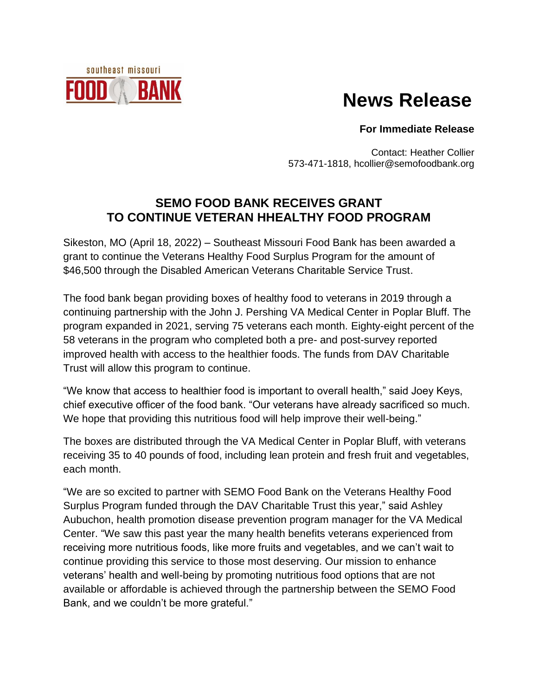

# **News Release**

# **For Immediate Release**

Contact: Heather Collier 573-471-1818, hcollier@semofoodbank.org

# **SEMO FOOD BANK RECEIVES GRANT TO CONTINUE VETERAN HHEALTHY FOOD PROGRAM**

Sikeston, MO (April 18, 2022) – Southeast Missouri Food Bank has been awarded a grant to continue the Veterans Healthy Food Surplus Program for the amount of \$46,500 through the Disabled American Veterans Charitable Service Trust.

The food bank began providing boxes of healthy food to veterans in 2019 through a continuing partnership with the John J. Pershing VA Medical Center in Poplar Bluff. The program expanded in 2021, serving 75 veterans each month. Eighty-eight percent of the 58 veterans in the program who completed both a pre- and post-survey reported improved health with access to the healthier foods. The funds from DAV Charitable Trust will allow this program to continue.

"We know that access to healthier food is important to overall health," said Joey Keys, chief executive officer of the food bank. "Our veterans have already sacrificed so much. We hope that providing this nutritious food will help improve their well-being."

The boxes are distributed through the VA Medical Center in Poplar Bluff, with veterans receiving 35 to 40 pounds of food, including lean protein and fresh fruit and vegetables, each month.

"We are so excited to partner with SEMO Food Bank on the Veterans Healthy Food Surplus Program funded through the DAV Charitable Trust this year," said Ashley Aubuchon, health promotion disease prevention program manager for the VA Medical Center. "We saw this past year the many health benefits veterans experienced from receiving more nutritious foods, like more fruits and vegetables, and we can't wait to continue providing this service to those most deserving. Our mission to enhance veterans' health and well-being by promoting nutritious food options that are not available or affordable is achieved through the partnership between the SEMO Food Bank, and we couldn't be more grateful."